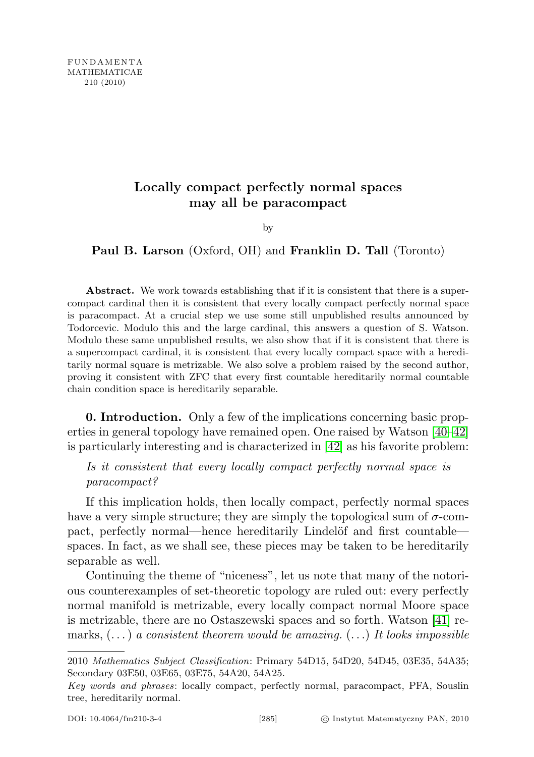## Locally compact perfectly normal spaces may all be paracompact

by

Paul B. Larson (Oxford, OH) and Franklin D. Tall (Toronto)

Abstract. We work towards establishing that if it is consistent that there is a supercompact cardinal then it is consistent that every locally compact perfectly normal space is paracompact. At a crucial step we use some still unpublished results announced by Todorcevic. Modulo this and the large cardinal, this answers a question of S. Watson. Modulo these same unpublished results, we also show that if it is consistent that there is a supercompact cardinal, it is consistent that every locally compact space with a hereditarily normal square is metrizable. We also solve a problem raised by the second author, proving it consistent with ZFC that every first countable hereditarily normal countable chain condition space is hereditarily separable.

0. Introduction. Only a few of the implications concerning basic properties in general topology have remained open. One raised by Watson [\[40–](#page-15-0)[42\]](#page-15-1) is particularly interesting and is characterized in [\[42\]](#page-15-1) as his favorite problem:

Is it consistent that every locally compact perfectly normal space is paracompact?

If this implication holds, then locally compact, perfectly normal spaces have a very simple structure; they are simply the topological sum of  $\sigma$ -compact, perfectly normal—hence hereditarily Lindelöf and first countable spaces. In fact, as we shall see, these pieces may be taken to be hereditarily separable as well.

Continuing the theme of "niceness", let us note that many of the notorious counterexamples of set-theoretic topology are ruled out: every perfectly normal manifold is metrizable, every locally compact normal Moore space is metrizable, there are no Ostaszewski spaces and so forth. Watson [\[41\]](#page-15-2) remarks,  $(\ldots)$  a consistent theorem would be amazing.  $(\ldots)$  It looks impossible

<sup>2010</sup> Mathematics Subject Classification: Primary 54D15, 54D20, 54D45, 03E35, 54A35; Secondary 03E50, 03E65, 03E75, 54A20, 54A25.

Key words and phrases: locally compact, perfectly normal, paracompact, PFA, Souslin tree, hereditarily normal.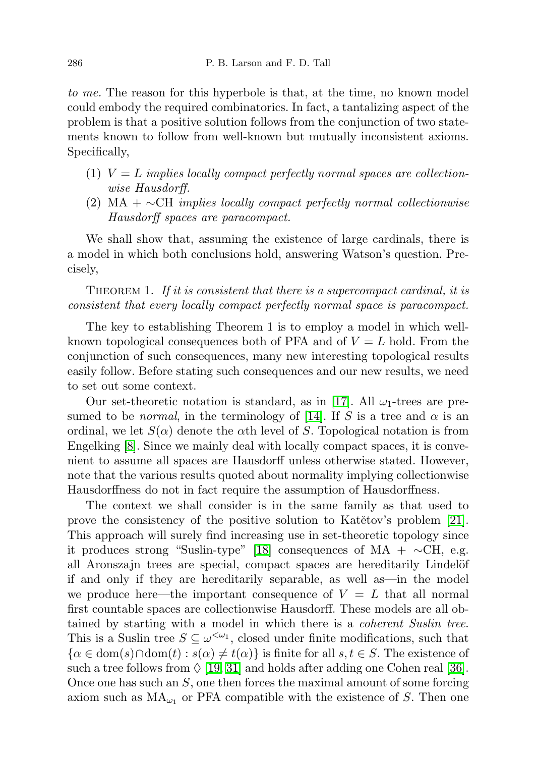to me. The reason for this hyperbole is that, at the time, no known model could embody the required combinatorics. In fact, a tantalizing aspect of the problem is that a positive solution follows from the conjunction of two statements known to follow from well-known but mutually inconsistent axioms. Specifically,

- (1)  $V = L$  implies locally compact perfectly normal spaces are collectionwise Hausdorff.
- (2) MA +  $\sim$ CH implies locally compact perfectly normal collectionwise Hausdorff spaces are paracompact.

We shall show that, assuming the existence of large cardinals, there is a model in which both conclusions hold, answering Watson's question. Precisely,

THEOREM 1. If it is consistent that there is a supercompact cardinal, it is consistent that every locally compact perfectly normal space is paracompact.

The key to establishing Theorem 1 is to employ a model in which wellknown topological consequences both of PFA and of  $V = L$  hold. From the conjunction of such consequences, many new interesting topological results easily follow. Before stating such consequences and our new results, we need to set out some context.

Our set-theoretic notation is standard, as in [\[17\]](#page-14-0). All  $\omega_1$ -trees are presumed to be *normal*, in the terminology of [\[14\]](#page-14-1). If S is a tree and  $\alpha$  is an ordinal, we let  $S(\alpha)$  denote the  $\alpha$ th level of S. Topological notation is from Engelking [\[8\]](#page-13-0). Since we mainly deal with locally compact spaces, it is convenient to assume all spaces are Hausdorff unless otherwise stated. However, note that the various results quoted about normality implying collectionwise Hausdorffness do not in fact require the assumption of Hausdorffness.

The context we shall consider is in the same family as that used to prove the consistency of the positive solution to Katětov's problem  $[2]$ . This approach will surely find increasing use in set-theoretic topology since it produces strong "Suslin-type" [\[18\]](#page-14-3) consequences of MA +  $\sim$ CH, e.g. all Aronszajn trees are special, compact spaces are hereditarily Lindelöf if and only if they are hereditarily separable, as well as—in the model we produce here—the important consequence of  $V = L$  that all normal first countable spaces are collectionwise Hausdorff. These models are all obtained by starting with a model in which there is a coherent Suslin tree. This is a Suslin tree  $S \subseteq \omega^{\langle \omega_1 \rangle}$ , closed under finite modifications, such that  ${\alpha \in \text{dom}(s) \cap \text{dom}(t) : s(\alpha) \neq t(\alpha)}$  is finite for all  $s, t \in S$ . The existence of such a tree follows from  $\Diamond$  [\[19,](#page-14-4) [31\]](#page-14-5) and holds after adding one Cohen real [\[36\]](#page-15-3). Once one has such an  $S$ , one then forces the maximal amount of some forcing axiom such as  $MA_{\omega_1}$  or PFA compatible with the existence of S. Then one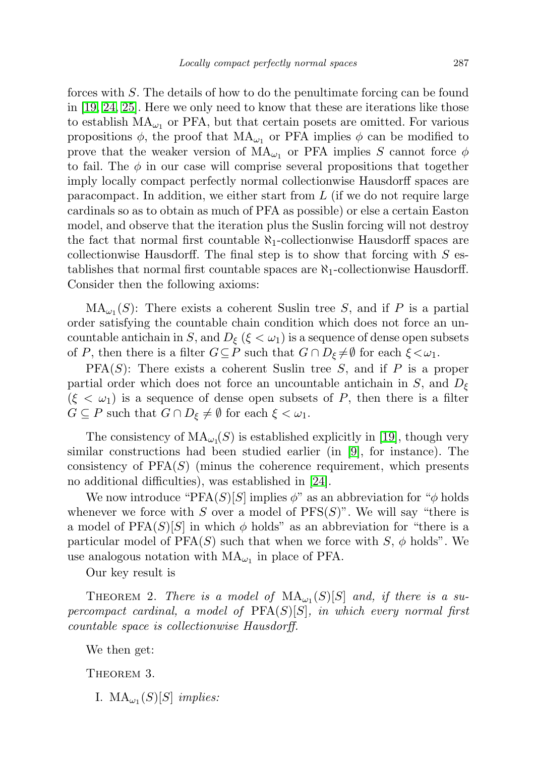forces with S. The details of how to do the penultimate forcing can be found in [\[19,](#page-14-4) [24,](#page-14-6) [25\]](#page-14-7). Here we only need to know that these are iterations like those to establish  $MA_{\omega_1}$  or PFA, but that certain posets are omitted. For various propositions  $\phi$ , the proof that  $MA_{\omega_1}$  or PFA implies  $\phi$  can be modified to prove that the weaker version of  $MA_{\omega_1}$  or PFA implies S cannot force  $\phi$ to fail. The  $\phi$  in our case will comprise several propositions that together imply locally compact perfectly normal collectionwise Hausdorff spaces are paracompact. In addition, we either start from  $L$  (if we do not require large cardinals so as to obtain as much of PFA as possible) or else a certain Easton model, and observe that the iteration plus the Suslin forcing will not destroy the fact that normal first countable  $\aleph_1$ -collectionwise Hausdorff spaces are collectionwise Hausdorff. The final step is to show that forcing with  $S$  establishes that normal first countable spaces are  $\aleph_1$ -collectionwise Hausdorff. Consider then the following axioms:

 $MA_{\omega_1}(S)$ : There exists a coherent Suslin tree S, and if P is a partial order satisfying the countable chain condition which does not force an uncountable antichain in S, and  $D_{\xi}$  ( $\xi < \omega_1$ ) is a sequence of dense open subsets of P, then there is a filter  $G \subseteq P$  such that  $G \cap D_{\xi} \neq \emptyset$  for each  $\xi < \omega_1$ .

 $PFA(S)$ : There exists a coherent Suslin tree S, and if P is a proper partial order which does not force an uncountable antichain in S, and  $D_{\xi}$  $(\xi < \omega_1)$  is a sequence of dense open subsets of P, then there is a filter  $G \subseteq P$  such that  $G \cap D_{\xi} \neq \emptyset$  for each  $\xi < \omega_1$ .

The consistency of  $\text{MA}_{\omega_1}(S)$  is established explicitly in [\[19\]](#page-14-4), though very similar constructions had been studied earlier (in [\[9\]](#page-14-8), for instance). The consistency of  $PFA(S)$  (minus the coherence requirement, which presents no additional difficulties), was established in [\[24\]](#page-14-6).

We now introduce "PFA $(S)[S]$  implies  $\phi$ " as an abbreviation for " $\phi$  holds whenever we force with S over a model of  $PFS(S)$ ". We will say "there is a model of  $PFA(S)[S]$  in which  $\phi$  holds" as an abbreviation for "there is a particular model of  $PFA(S)$  such that when we force with  $S, \phi$  holds". We use analogous notation with  $MA_{\omega_1}$  in place of PFA.

Our key result is

THEOREM 2. There is a model of  $MA_{\omega_1}(S)[S]$  and, if there is a supercompact cardinal, a model of  $PFA(S)[S]$ , in which every normal first countable space is collectionwise Hausdorff.

<span id="page-2-0"></span>We then get:

THEOREM 3.

I.  $MA_{\omega_1}(S)[S]$  implies: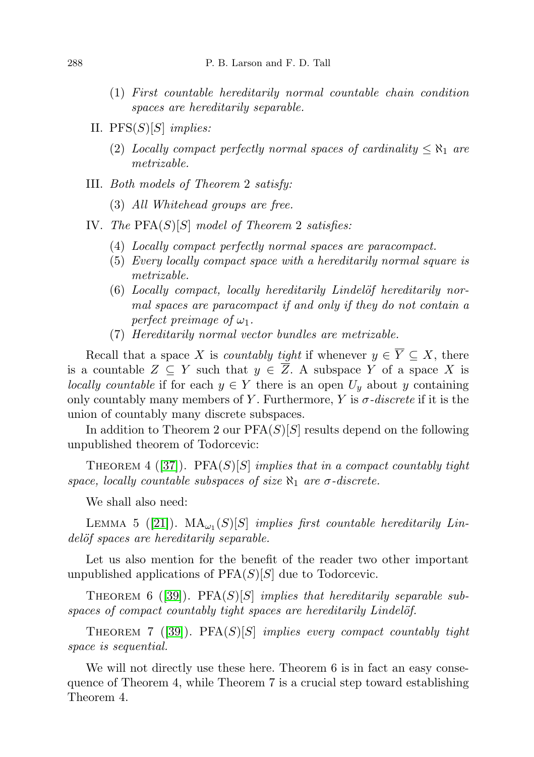- (1) First countable hereditarily normal countable chain condition spaces are hereditarily separable.
- II.  $PFS(S)[S]$  implies:
	- (2) Locally compact perfectly normal spaces of cardinality  $\leq \aleph_1$  are metrizable.
- III. Both models of Theorem 2 satisfy:
	- (3) All Whitehead groups are free.
- IV. The  $PFA(S)[S]$  model of Theorem 2 satisfies:
	- (4) Locally compact perfectly normal spaces are paracompact.
	- (5) Every locally compact space with a hereditarily normal square is metrizable.
	- $(6)$  Locally compact, locally hereditarily Lindelöf hereditarily normal spaces are paracompact if and only if they do not contain a perfect preimage of  $\omega_1$ .
	- (7) Hereditarily normal vector bundles are metrizable.

Recall that a space X is *countably tight* if whenever  $y \in \overline{Y} \subseteq X$ , there is a countable  $Z \subseteq Y$  such that  $y \in \overline{Z}$ . A subspace Y of a space X is locally countable if for each  $y \in Y$  there is an open  $U_y$  about y containing only countably many members of Y. Furthermore, Y is  $\sigma$ -discrete if it is the union of countably many discrete subspaces.

In addition to Theorem 2 our  $PFA(S)[S]$  results depend on the following unpublished theorem of Todorcevic:

THEOREM 4 ([\[37\]](#page-15-4)). PFA $(S)[S]$  implies that in a compact countably tight space, locally countable subspaces of size  $\aleph_1$  are  $\sigma$ -discrete.

We shall also need:

LEMMA 5 ([\[21\]](#page-14-2)).  $MA_{\omega_1}(S)[S]$  implies first countable hereditarily Lindelöf spaces are hereditarily separable.

Let us also mention for the benefit of the reader two other important unpublished applications of  $PFA(S)[S]$  due to Todorcevic.

THEOREM 6 ([\[39\]](#page-15-5)). PFA $(S)[S]$  implies that hereditarily separable sub $spaces of compact countably tight spaces are hereditary Lindelöf.$ 

THEOREM 7 ([\[39\]](#page-15-5)). PFA $(S)[S]$  implies every compact countably tight space is sequential.

We will not directly use these here. Theorem 6 is in fact an easy consequence of Theorem 4, while Theorem 7 is a crucial step toward establishing Theorem 4.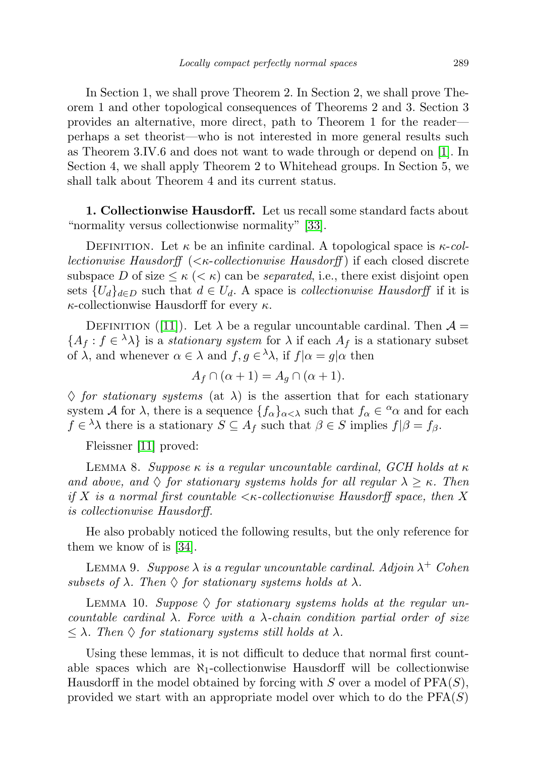In Section 1, we shall prove Theorem 2. In Section 2, we shall prove Theorem 1 and other topological consequences of Theorems 2 and 3. Section 3 provides an alternative, more direct, path to Theorem 1 for the reader perhaps a set theorist—who is not interested in more general results such as Theorem 3.IV.6 and does not want to wade through or depend on [\[1\]](#page-13-1). In Section 4, we shall apply Theorem 2 to Whitehead groups. In Section 5, we shall talk about Theorem 4 and its current status.

1. Collectionwise Hausdorff. Let us recall some standard facts about "normality versus collectionwise normality" [\[33\]](#page-14-9).

DEFINITION. Let  $\kappa$  be an infinite cardinal. A topological space is  $\kappa$ -col*lectionwise Hausdorff*  $( $\kappa$ -collectionwise Hausdorff)$  if each closed discrete subspace D of size  $\leq \kappa \leq \kappa$  can be *separated*, i.e., there exist disjoint open sets  $\{U_d\}_{d\in D}$  such that  $d \in U_d$ . A space is *collectionwise Hausdorff* if it is  $\kappa$ -collectionwise Hausdorff for every  $\kappa$ .

DEFINITION ([\[11\]](#page-14-10)). Let  $\lambda$  be a regular uncountable cardinal. Then  $\mathcal{A} =$  $\{A_f: f \in {}^{\lambda} \lambda\}$  is a stationary system for  $\lambda$  if each  $A_f$  is a stationary subset of  $\lambda$ , and whenever  $\alpha \in \lambda$  and  $f, g \in \lambda \lambda$ , if  $f|\alpha = g|\alpha$  then

$$
A_f \cap (\alpha + 1) = A_g \cap (\alpha + 1).
$$

 $\Diamond$  for stationary systems (at  $\lambda$ ) is the assertion that for each stationary system A for  $\lambda$ , there is a sequence  $\{f_{\alpha}\}_{{\alpha<\lambda}}$  such that  $f_{\alpha}\in {}^{\alpha}\alpha$  and for each  $f \in \lambda \lambda$  there is a stationary  $S \subseteq A_f$  such that  $\beta \in S$  implies  $f|\beta = f_\beta$ .

Fleissner [\[11\]](#page-14-10) proved:

LEMMA 8. Suppose  $\kappa$  is a regular uncountable cardinal, GCH holds at  $\kappa$ and above, and  $\Diamond$  for stationary systems holds for all regular  $\lambda \geq \kappa$ . Then if X is a normal first countable  $\lt \kappa$ -collectionwise Hausdorff space, then X is collectionwise Hausdorff.

He also probably noticed the following results, but the only reference for them we know of is [\[34\]](#page-14-11).

LEMMA 9. Suppose  $\lambda$  is a regular uncountable cardinal. Adjoin  $\lambda^+$  Cohen subsets of  $\lambda$ . Then  $\Diamond$  for stationary systems holds at  $\lambda$ .

LEMMA 10. Suppose  $\Diamond$  for stationary systems holds at the regular uncountable cardinal  $\lambda$ . Force with a  $\lambda$ -chain condition partial order of size  $\leq \lambda$ . Then  $\Diamond$  for stationary systems still holds at  $\lambda$ .

Using these lemmas, it is not difficult to deduce that normal first countable spaces which are  $\aleph_1$ -collectionwise Hausdorff will be collectionwise Hausdorff in the model obtained by forcing with S over a model of  $PFA(S)$ , provided we start with an appropriate model over which to do the  $PFA(S)$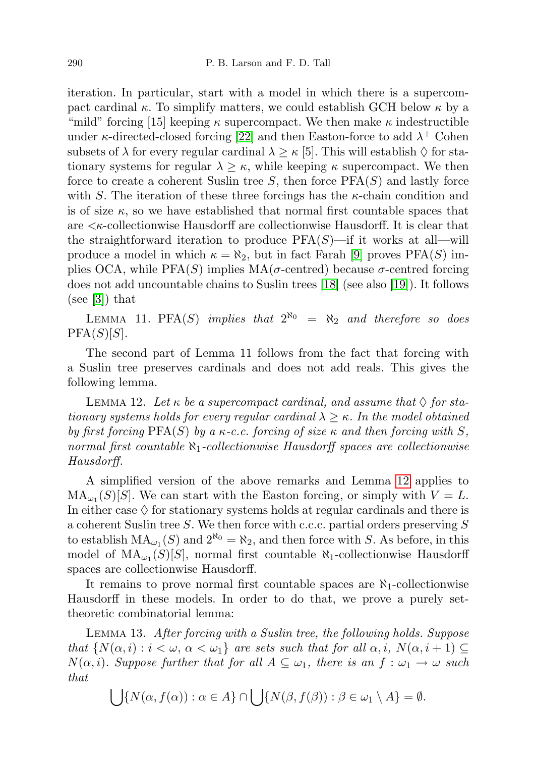iteration. In particular, start with a model in which there is a supercompact cardinal  $\kappa$ . To simplify matters, we could establish GCH below  $\kappa$  by a "mild" forcing [15] keeping  $\kappa$  supercompact. We then make  $\kappa$  indestructible under  $\kappa$ -directed-closed forcing [\[22\]](#page-14-12) and then Easton-force to add  $\lambda^+$  Cohen subsets of  $\lambda$  for every regular cardinal  $\lambda \geq \kappa$  [5]. This will establish  $\Diamond$  for stationary systems for regular  $\lambda \geq \kappa$ , while keeping  $\kappa$  supercompact. We then force to create a coherent Suslin tree  $S$ , then force  $PFA(S)$  and lastly force with S. The iteration of these three forcings has the  $\kappa$ -chain condition and is of size  $\kappa$ , so we have established that normal first countable spaces that are <κ-collectionwise Hausdorff are collectionwise Hausdorff. It is clear that the straightforward iteration to produce  $PFA(S)$ —if it works at all—will produce a model in which  $\kappa = \aleph_2$ , but in fact Farah [\[9\]](#page-14-8) proves PFA(S) implies OCA, while PFA(S) implies  $MA(\sigma\text{-centred})$  because  $\sigma\text{-centred}$  forcing does not add uncountable chains to Suslin trees [\[18\]](#page-14-3) (see also [\[19\]](#page-14-4)). It follows (see [\[3\]](#page-13-2)) that

LEMMA 11. PFA(S) implies that  $2^{\aleph_0} = \aleph_2$  and therefore so does  $PFA(S)[S].$ 

The second part of Lemma 11 follows from the fact that forcing with a Suslin tree preserves cardinals and does not add reals. This gives the following lemma.

<span id="page-5-0"></span>LEMMA 12. Let  $\kappa$  be a supercompact cardinal, and assume that  $\Diamond$  for stationary systems holds for every regular cardinal  $\lambda \geq \kappa$ . In the model obtained by first forcing  $PFA(S)$  by a  $\kappa$ -c.c. forcing of size  $\kappa$  and then forcing with S, normal first countable  $\aleph_1$ -collectionwise Hausdorff spaces are collectionwise Hausdorff.

A simplified version of the above remarks and Lemma [12](#page-5-0) applies to  $MA_{\omega_1}(S)[S]$ . We can start with the Easton forcing, or simply with  $V = L$ . In either case  $\Diamond$  for stationary systems holds at regular cardinals and there is a coherent Suslin tree S. We then force with c.c.c. partial orders preserving S to establish  $MA_{\omega_1}(S)$  and  $2^{\aleph_0} = \aleph_2$ , and then force with S. As before, in this model of  $\text{MA}_{\omega_1}(S)[S]$ , normal first countable  $\aleph_1$ -collectionwise Hausdorff spaces are collectionwise Hausdorff.

It remains to prove normal first countable spaces are  $\aleph_1$ -collectionwise Hausdorff in these models. In order to do that, we prove a purely settheoretic combinatorial lemma:

<span id="page-5-1"></span>Lemma 13. After forcing with a Suslin tree, the following holds. Suppose that  $\{N(\alpha, i): i < \omega, \alpha < \omega_1\}$  are sets such that for all  $\alpha, i$ ,  $N(\alpha, i + 1) \subseteq$  $N(\alpha, i)$ . Suppose further that for all  $A \subseteq \omega_1$ , there is an  $f : \omega_1 \to \omega$  such that

$$
\bigcup \{ N(\alpha, f(\alpha)) : \alpha \in A \} \cap \bigcup \{ N(\beta, f(\beta)) : \beta \in \omega_1 \setminus A \} = \emptyset.
$$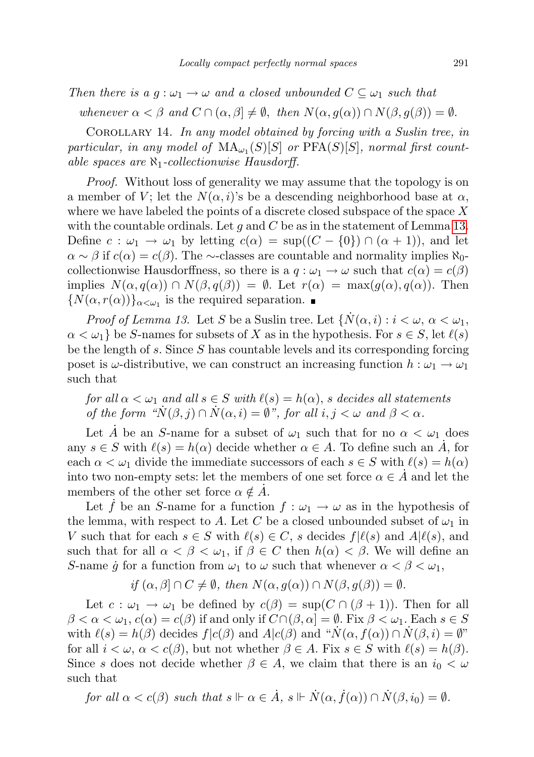Then there is a  $g: \omega_1 \to \omega$  and a closed unbounded  $C \subseteq \omega_1$  such that

whenever  $\alpha < \beta$  and  $C \cap (\alpha, \beta] \neq \emptyset$ , then  $N(\alpha, g(\alpha)) \cap N(\beta, g(\beta)) = \emptyset$ .

COROLLARY 14. In any model obtained by forcing with a Suslin tree, in particular, in any model of  $\text{MA}_{\omega_1}(S)[S]$  or  $\text{PFA}(S)[S]$ , normal first countable spaces are  $\aleph_1$ -collectionwise Hausdorff.

Proof. Without loss of generality we may assume that the topology is on a member of V; let the  $N(\alpha, i)$ 's be a descending neighborhood base at  $\alpha$ , where we have labeled the points of a discrete closed subspace of the space  $X$ with the countable ordinals. Let g and C be as in the statement of Lemma [13.](#page-5-1) Define  $c : \omega_1 \to \omega_1$  by letting  $c(\alpha) = \sup((C - \{0\}) \cap (\alpha + 1)),$  and let  $\alpha \sim \beta$  if  $c(\alpha) = c(\beta)$ . The ∼-classes are countable and normality implies  $\aleph_0$ collectionwise Hausdorffness, so there is a  $q : \omega_1 \to \omega$  such that  $c(\alpha) = c(\beta)$ implies  $N(\alpha, q(\alpha)) \cap N(\beta, q(\beta)) = \emptyset$ . Let  $r(\alpha) = \max(q(\alpha), q(\alpha))$ . Then  ${N(\alpha, r(\alpha))}_{\alpha<\omega_1}$  is the required separation.

*Proof of Lemma 13.* Let S be a Suslin tree. Let  $\{N(\alpha,i): i < \omega, \alpha < \omega_1,$  $\alpha < \omega_1$  be S-names for subsets of X as in the hypothesis. For  $s \in S$ , let  $\ell(s)$ be the length of s. Since  $S$  has countable levels and its corresponding forcing poset is  $\omega$ -distributive, we can construct an increasing function  $h : \omega_1 \to \omega_1$ such that

for all  $\alpha < \omega_1$  and all  $s \in S$  with  $\ell(s) = h(\alpha)$ , s decides all statements of the form " $N(\beta, j) \cap N(\alpha, i) = \emptyset$ ", for all  $i, j < \omega$  and  $\beta < \alpha$ .

Let A be an S-name for a subset of  $\omega_1$  such that for no  $\alpha < \omega_1$  does any  $s \in S$  with  $\ell(s) = h(\alpha)$  decide whether  $\alpha \in A$ . To define such an  $\dot{A}$ , for each  $\alpha < \omega_1$  divide the immediate successors of each  $s \in S$  with  $\ell(s) = h(\alpha)$ into two non-empty sets: let the members of one set force  $\alpha \in A$  and let the members of the other set force  $\alpha \notin \dot{A}$ .

Let f be an S-name for a function  $f : \omega_1 \to \omega$  as in the hypothesis of the lemma, with respect to A. Let C be a closed unbounded subset of  $\omega_1$  in V such that for each  $s \in S$  with  $\ell(s) \in C$ , s decides  $f|\ell(s)$  and  $A|\ell(s)$ , and such that for all  $\alpha < \beta < \omega_1$ , if  $\beta \in C$  then  $h(\alpha) < \beta$ . We will define an S-name  $\dot{g}$  for a function from  $\omega_1$  to  $\omega$  such that whenever  $\alpha < \beta < \omega_1$ ,

if 
$$
(\alpha, \beta] \cap C \neq \emptyset
$$
, then  $N(\alpha, g(\alpha)) \cap N(\beta, g(\beta)) = \emptyset$ .

Let  $c : \omega_1 \to \omega_1$  be defined by  $c(\beta) = \sup(C \cap (\beta + 1))$ . Then for all  $\beta < \alpha < \omega_1$ ,  $c(\alpha) = c(\beta)$  if and only if  $C \cap (\beta, \alpha] = \emptyset$ . Fix  $\beta < \omega_1$ . Each  $s \in S$ with  $\ell(s) = h(\beta)$  decides  $f|c(\beta)$  and  $A|c(\beta)$  and " $\dot{N}(\alpha, f(\alpha)) \cap \dot{N}(\beta, i) = \emptyset$ " for all  $i < \omega$ ,  $\alpha < c(\beta)$ , but not whether  $\beta \in A$ . Fix  $s \in S$  with  $\ell(s) = h(\beta)$ . Since s does not decide whether  $\beta \in A$ , we claim that there is an  $i_0 < \omega$ such that

for all  $\alpha < c(\beta)$  such that  $s \Vdash \alpha \in \dot{A}$ ,  $s \Vdash \dot{N}(\alpha, \dot{f}(\alpha)) \cap \dot{N}(\beta, i_0) = \emptyset$ .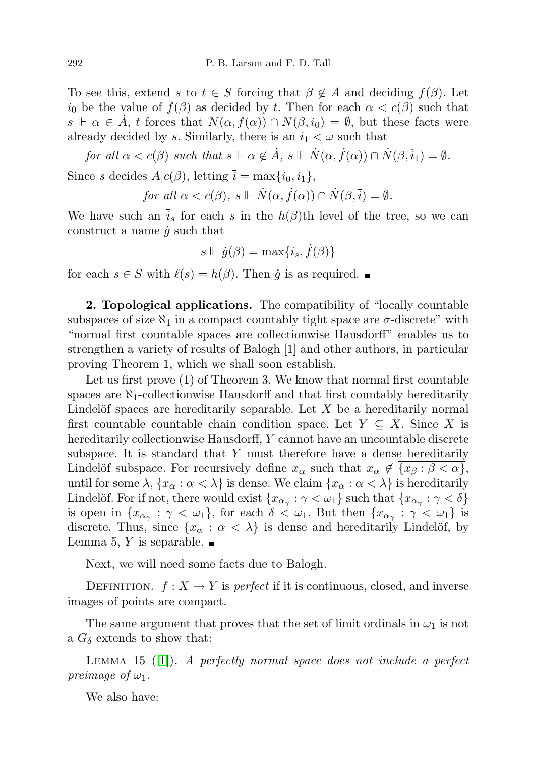To see this, extend s to  $t \in S$  forcing that  $\beta \notin A$  and deciding  $f(\beta)$ . Let  $i_0$  be the value of  $f(\beta)$  as decided by t. Then for each  $\alpha < c(\beta)$  such that  $s \Vdash \alpha \in \dot{A}$ , t forces that  $N(\alpha, f(\alpha)) \cap N(\beta, i_0) = \emptyset$ , but these facts were already decided by s. Similarly, there is an  $i_1 < \omega$  such that

for all 
$$
\alpha < c(\beta)
$$
 such that  $s \Vdash \alpha \notin \dot{A}$ ,  $s \Vdash \dot{N}(\alpha, \dot{f}(\alpha)) \cap \dot{N}(\beta, \dot{i}_1) = \emptyset$ .

Since s decides  $A|c(\beta)$ , letting  $\overline{i} = \max\{i_0, i_1\},\$ 

for all 
$$
\alpha < c(\beta)
$$
,  $s \Vdash \dot{N}(\alpha, \dot{f}(\alpha)) \cap \dot{N}(\beta, \overline{i}) = \emptyset$ .

We have such an  $i_s$  for each s in the  $h(\beta)$ th level of the tree, so we can construct a name  $\dot{g}$  such that

$$
s \Vdash \dot{g}(\beta) = \max\{\bar{i}_s, \dot{f}(\beta)\}\
$$

for each  $s \in S$  with  $\ell(s) = h(\beta)$ . Then  $\dot{g}$  is as required.  $\blacksquare$ 

2. Topological applications. The compatibility of "locally countable subspaces of size  $\aleph_1$  in a compact countably tight space are  $\sigma$ -discrete" with "normal first countable spaces are collectionwise Hausdorff" enables us to strengthen a variety of results of Balogh [1] and other authors, in particular proving Theorem 1, which we shall soon establish.

Let us first prove (1) of Theorem 3. We know that normal first countable spaces are  $\aleph_1$ -collectionwise Hausdorff and that first countably hereditarily Lindelöf spaces are hereditarily separable. Let  $X$  be a hereditarily normal first countable countable chain condition space. Let  $Y \subseteq X$ . Since X is hereditarily collectionwise Hausdorff, Y cannot have an uncountable discrete subspace. It is standard that  $Y$  must therefore have a dense hereditarily Lindelöf subspace. For recursively define  $x_{\alpha}$  such that  $x_{\alpha} \notin \{x_{\beta} : \beta < \alpha\},\$ until for some  $\lambda$ ,  $\{x_\alpha : \alpha < \lambda\}$  is dense. We claim  $\{x_\alpha : \alpha < \lambda\}$  is hereditarily Lindelöf. For if not, there would exist  $\{x_{\alpha_{\gamma}} : \gamma < \omega_1\}$  such that  $\{x_{\alpha_{\gamma}} : \gamma < \delta\}$ is open in  $\{x_{\alpha_{\gamma}} : \gamma < \omega_1\}$ , for each  $\delta < \omega_1$ . But then  $\{x_{\alpha_{\gamma}} : \gamma < \omega_1\}$  is discrete. Thus, since  $\{x_\alpha : \alpha < \lambda\}$  is dense and hereditarily Lindelöf, by Lemma 5, Y is separable.  $\blacksquare$ 

Next, we will need some facts due to Balogh.

DEFINITION.  $f: X \to Y$  is perfect if it is continuous, closed, and inverse images of points are compact.

The same argument that proves that the set of limit ordinals in  $\omega_1$  is not a  $G_{\delta}$  extends to show that:

LEMMA 15  $([1])$  $([1])$  $([1])$ . A perfectly normal space does not include a perfect preimage of  $\omega_1$ .

We also have: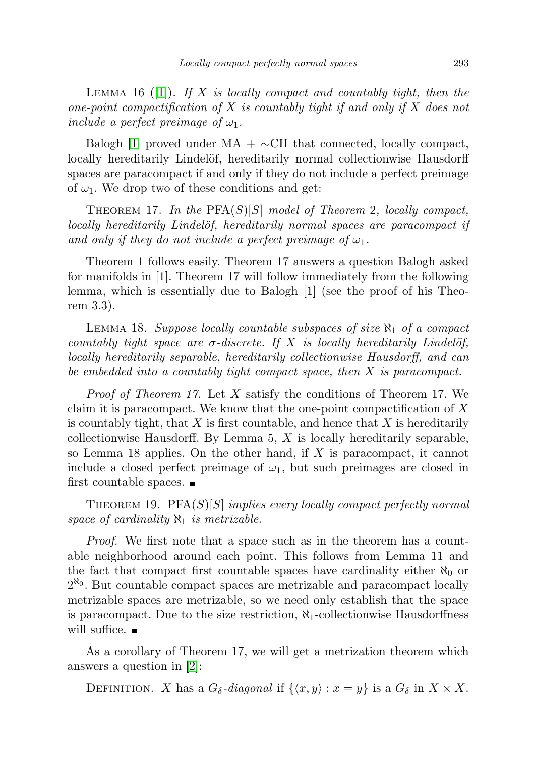LEMMA 16 ([\[1\]](#page-13-1)). If X is locally compact and countably tight, then the one-point compactification of X is countably tight if and only if X does not include a perfect preimage of  $\omega_1$ .

Balogh [\[1\]](#page-13-1) proved under MA +  $\sim$ CH that connected, locally compact, locally hereditarily Lindelöf, hereditarily normal collectionwise Hausdorff spaces are paracompact if and only if they do not include a perfect preimage of  $\omega_1$ . We drop two of these conditions and get:

THEOREM 17. In the  $PFA(S)[S]$  model of Theorem 2, locally compact, locally hereditarily Lindelöf, hereditarily normal spaces are paracompact if and only if they do not include a perfect preimage of  $\omega_1$ .

Theorem 1 follows easily. Theorem 17 answers a question Balogh asked for manifolds in [1]. Theorem 17 will follow immediately from the following lemma, which is essentially due to Balogh [1] (see the proof of his Theorem 3.3).

LEMMA 18. Suppose locally countable subspaces of size  $\aleph_1$  of a compact countably tight space are  $\sigma$ -discrete. If X is locally hereditarily Lindelöf, locally hereditarily separable, hereditarily collectionwise Hausdorff, and can be embedded into a countably tight compact space, then X is paracompact.

Proof of Theorem 17. Let X satisfy the conditions of Theorem 17. We claim it is paracompact. We know that the one-point compactification of  $X$ is countably tight, that  $X$  is first countable, and hence that  $X$  is hereditarily collectionwise Hausdorff. By Lemma 5,  $X$  is locally hereditarily separable, so Lemma 18 applies. On the other hand, if  $X$  is paracompact, it cannot include a closed perfect preimage of  $\omega_1$ , but such preimages are closed in first countable spaces.

THEOREM 19. PFA $(S)[S]$  implies every locally compact perfectly normal space of cardinality  $\aleph_1$  is metrizable.

Proof. We first note that a space such as in the theorem has a countable neighborhood around each point. This follows from Lemma 11 and the fact that compact first countable spaces have cardinality either  $\aleph_0$  or  $2^{\aleph_0}$ . But countable compact spaces are metrizable and paracompact locally metrizable spaces are metrizable, so we need only establish that the space is paracompact. Due to the size restriction,  $\aleph_1$ -collectionwise Hausdorffness will suffice.  $\blacksquare$ 

As a corollary of Theorem 17, we will get a metrization theorem which answers a question in [\[2\]](#page-13-3):

DEFINITION. X has a  $G_{\delta}$ -diagonal if  $\{\langle x, y \rangle : x = y\}$  is a  $G_{\delta}$  in  $X \times X$ .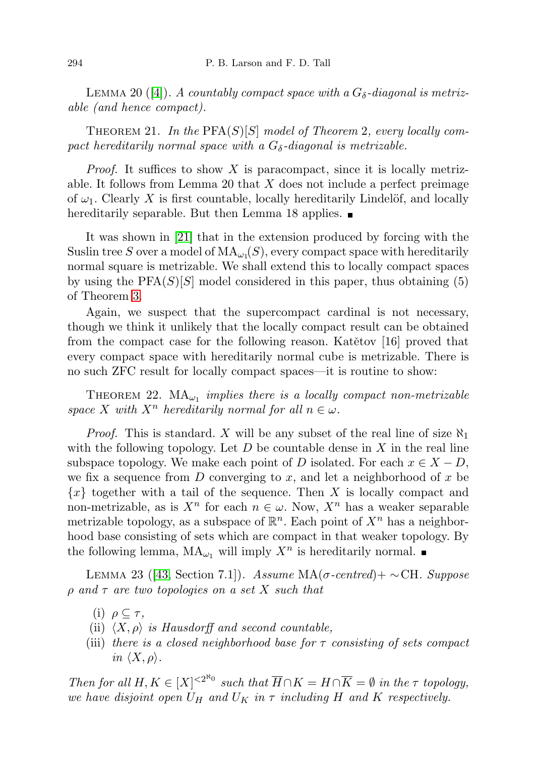LEMMA 20 ([\[4\]](#page-13-4)). A countably compact space with a  $G_{\delta}$ -diagonal is metrizable (and hence compact).

THEOREM 21. In the  $PFA(S)[S]$  model of Theorem 2, every locally compact hereditarily normal space with a  $G_{\delta}$ -diagonal is metrizable.

*Proof.* It suffices to show X is paracompact, since it is locally metrizable. It follows from Lemma 20 that  $X$  does not include a perfect preimage of  $\omega_1$ . Clearly X is first countable, locally hereditarily Lindelöf, and locally hereditarily separable. But then Lemma 18 applies.  $\blacksquare$ 

It was shown in [\[21\]](#page-14-2) that in the extension produced by forcing with the Suslin tree S over a model of  $\text{MA}_{\omega_1}(S)$ , every compact space with hereditarily normal square is metrizable. We shall extend this to locally compact spaces by using the  $PFA(S)[S]$  model considered in this paper, thus obtaining (5) of Theorem [3.](#page-2-0)

Again, we suspect that the supercompact cardinal is not necessary, though we think it unlikely that the locally compact result can be obtained from the compact case for the following reason. Katětov  $[16]$  proved that every compact space with hereditarily normal cube is metrizable. There is no such ZFC result for locally compact spaces—it is routine to show:

THEOREM 22.  $MA_{\omega_1}$  implies there is a locally compact non-metrizable space X with  $X^n$  hereditarily normal for all  $n \in \omega$ .

*Proof.* This is standard. X will be any subset of the real line of size  $\aleph_1$ with the following topology. Let  $D$  be countable dense in  $X$  in the real line subspace topology. We make each point of D isolated. For each  $x \in X - D$ , we fix a sequence from  $D$  converging to  $x$ , and let a neighborhood of  $x$  be  ${x}$  together with a tail of the sequence. Then X is locally compact and non-metrizable, as is  $X^n$  for each  $n \in \omega$ . Now,  $X^n$  has a weaker separable metrizable topology, as a subspace of  $\mathbb{R}^n$ . Each point of  $X^n$  has a neighborhood base consisting of sets which are compact in that weaker topology. By the following lemma,  $MA_{\omega_1}$  will imply  $X^n$  is hereditarily normal.

LEMMA 23 ([\[43,](#page-15-6) Section 7.1]). Assume MA(σ-centred)+ ∼CH. Suppose  $\rho$  and  $\tau$  are two topologies on a set X such that

- (i)  $\rho \subseteq \tau$ ,
- (ii)  $\langle X, \rho \rangle$  is Hausdorff and second countable,
- (iii) there is a closed neighborhood base for  $\tau$  consisting of sets compact in  $\langle X, \rho \rangle$ .

Then for all  $H, K \in [X]^{< 2^{\aleph_0}}$  such that  $\overline{H} \cap K = H \cap \overline{K} = \emptyset$  in the  $\tau$  topology, we have disjoint open  $U_H$  and  $U_K$  in  $\tau$  including H and K respectively.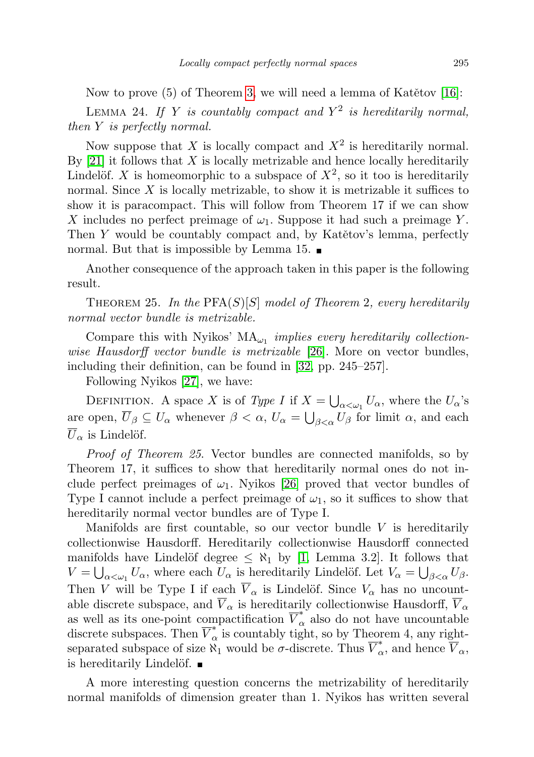Now to prove  $(5)$  of Theorem [3,](#page-2-0) we will need a lemma of Katětov [\[16\]](#page-14-13):

LEMMA 24. If Y is countably compact and  $Y^2$  is hereditarily normal, then Y is perfectly normal.

Now suppose that X is locally compact and  $X^2$  is hereditarily normal. By  $[21]$  it follows that X is locally metrizable and hence locally hereditarily Lindelöf. X is homeomorphic to a subspace of  $X^2$ , so it too is hereditarily normal. Since  $X$  is locally metrizable, to show it is metrizable it suffices to show it is paracompact. This will follow from Theorem 17 if we can show X includes no perfect preimage of  $\omega_1$ . Suppose it had such a preimage Y. Then  $Y$  would be countably compact and, by Katětov's lemma, perfectly normal. But that is impossible by Lemma 15.

Another consequence of the approach taken in this paper is the following result.

THEOREM 25. In the  $PFA(S)[S]$  model of Theorem 2, every hereditarily normal vector bundle is metrizable.

Compare this with Nyikos'  $MA_{\omega_1}$  implies every hereditarily collection-wise Hausdorff vector bundle is metrizable [\[26\]](#page-14-14). More on vector bundles, including their definition, can be found in [\[32,](#page-14-15) pp. 245–257].

Following Nyikos [\[27\]](#page-14-16), we have:

DEFINITION. A space X is of Type I if  $X = \bigcup_{\alpha < \omega_1} U_{\alpha}$ , where the  $U_{\alpha}$ 's are open,  $\overline{U}_{\beta} \subseteq U_{\alpha}$  whenever  $\beta < \alpha$ ,  $U_{\alpha} = \bigcup_{\beta < \alpha} U_{\beta}$  for limit  $\alpha$ , and each  $\overline{U}_{\alpha}$  is Lindelöf.

Proof of Theorem 25. Vector bundles are connected manifolds, so by Theorem 17, it suffices to show that hereditarily normal ones do not include perfect preimages of  $\omega_1$ . Nyikos [\[26\]](#page-14-14) proved that vector bundles of Type I cannot include a perfect preimage of  $\omega_1$ , so it suffices to show that hereditarily normal vector bundles are of Type I.

Manifolds are first countable, so our vector bundle  $V$  is hereditarily collectionwise Hausdorff. Hereditarily collectionwise Hausdorff connected manifolds have Lindelöf degree  $\leq \aleph_1$  by [\[1,](#page-13-1) Lemma 3.2]. It follows that  $V = \bigcup_{\alpha < \omega_1} U_{\alpha}$ , where each  $U_{\alpha}$  is hereditarily Lindelöf. Let  $V_{\alpha} = \bigcup_{\beta < \alpha} U_{\beta}$ . Then V will be Type I if each  $\overline{V}_{\alpha}$  is Lindelöf. Since  $V_{\alpha}$  has no uncountable discrete subspace, and  $\overline{V}_{\alpha}$  is hereditarily collectionwise Hausdorff,  $\overline{V}_{\alpha}$ as well as its one-point compactification  $\overline{V}_{\alpha}^*$  also do not have uncountable discrete subspaces. Then  $\overline{V}_{\alpha}^*$  is countably tight, so by Theorem 4, any rightseparated subspace of size  $\overset{\alpha}{\aleph_1}$  would be  $\sigma$ -discrete. Thus  $\overset{\circ}{V^*_{\alpha}}$ , and hence  $\overset{\circ}{V}_{\alpha}$ , is hereditarily Lindelöf.  $\blacksquare$ 

A more interesting question concerns the metrizability of hereditarily normal manifolds of dimension greater than 1. Nyikos has written several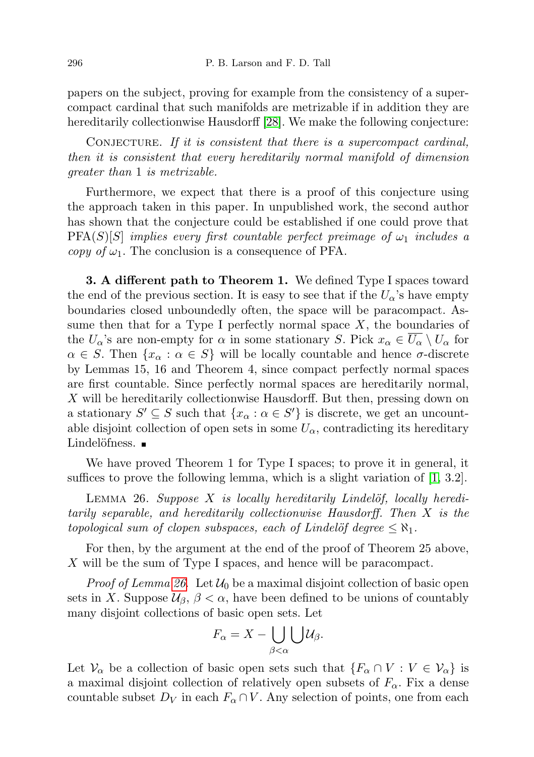papers on the subject, proving for example from the consistency of a supercompact cardinal that such manifolds are metrizable if in addition they are hereditarily collectionwise Hausdorff [\[28\]](#page-14-17). We make the following conjecture:

CONJECTURE. If it is consistent that there is a supercompact cardinal, then it is consistent that every hereditarily normal manifold of dimension greater than 1 is metrizable.

Furthermore, we expect that there is a proof of this conjecture using the approach taken in this paper. In unpublished work, the second author has shown that the conjecture could be established if one could prove that  $PFA(S)[S]$  implies every first countable perfect preimage of  $\omega_1$  includes a copy of  $\omega_1$ . The conclusion is a consequence of PFA.

3. A different path to Theorem 1. We defined Type I spaces toward the end of the previous section. It is easy to see that if the  $U_{\alpha}$ 's have empty boundaries closed unboundedly often, the space will be paracompact. Assume then that for a Type I perfectly normal space  $X$ , the boundaries of the  $U_{\alpha}$ 's are non-empty for  $\alpha$  in some stationary S. Pick  $x_{\alpha} \in \overline{U_{\alpha}} \setminus U_{\alpha}$  for  $\alpha \in S$ . Then  $\{x_\alpha : \alpha \in S\}$  will be locally countable and hence  $\sigma$ -discrete by Lemmas 15, 16 and Theorem 4, since compact perfectly normal spaces are first countable. Since perfectly normal spaces are hereditarily normal, X will be hereditarily collectionwise Hausdorff. But then, pressing down on a stationary  $S' \subseteq S$  such that  $\{x_\alpha : \alpha \in S'\}$  is discrete, we get an uncountable disjoint collection of open sets in some  $U_{\alpha}$ , contradicting its hereditary Lindelöfness.  $■$ 

We have proved Theorem 1 for Type I spaces; to prove it in general, it suffices to prove the following lemma, which is a slight variation of [\[1,](#page-13-1) 3.2].

<span id="page-11-0"></span>LEMMA 26. Suppose X is locally hereditarily Lindelöf, locally hereditarily separable, and hereditarily collectionwise Hausdorff. Then X is the topological sum of clopen subspaces, each of Lindelöf degree  $\leq \aleph_1$ .

For then, by the argument at the end of the proof of Theorem 25 above, X will be the sum of Type I spaces, and hence will be paracompact.

*Proof of Lemma [26](#page-11-0).* Let  $\mathcal{U}_0$  be a maximal disjoint collection of basic open sets in X. Suppose  $\mathcal{U}_{\beta}$ ,  $\beta < \alpha$ , have been defined to be unions of countably many disjoint collections of basic open sets. Let

$$
F_{\alpha}=X-\bigcup_{\beta<\alpha}\bigcup\mathcal{U}_{\beta}.
$$

Let  $\mathcal{V}_{\alpha}$  be a collection of basic open sets such that  $\{F_{\alpha} \cap V : V \in \mathcal{V}_{\alpha}\}\$ is a maximal disjoint collection of relatively open subsets of  $F_{\alpha}$ . Fix a dense countable subset  $D_V$  in each  $F_\alpha \cap V$ . Any selection of points, one from each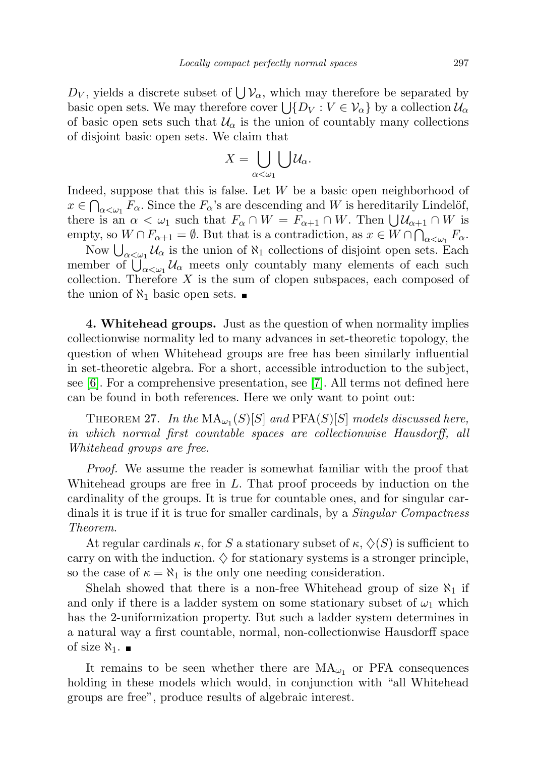$D_V$ , yields a discrete subset of  $\bigcup \mathcal{V}_{\alpha}$ , which may therefore be separated by basic open sets. We may therefore cover  $\bigcup \{D_V : V \in \mathcal{V}_\alpha\}$  by a collection  $\mathcal{U}_\alpha$ of basic open sets such that  $\mathcal{U}_{\alpha}$  is the union of countably many collections of disjoint basic open sets. We claim that

$$
X=\bigcup_{\alpha<\omega_1}\bigcup\mathcal{U}_\alpha.
$$

Indeed, suppose that this is false. Let  $W$  be a basic open neighborhood of  $x \in \bigcap_{\alpha<\omega_1} F_\alpha$ . Since the  $F_\alpha$ 's are descending and W is hereditarily Lindelöf, there is an  $\alpha < \omega_1$  such that  $F_\alpha \cap W = F_{\alpha+1} \cap W$ . Then  $\bigcup \mathcal{U}_{\alpha+1} \cap W$  is empty, so  $W \cap F_{\alpha+1} = \emptyset$ . But that is a contradiction, as  $x \in W \cap \bigcap_{\alpha < \omega_1} F_\alpha$ .

Now  $\bigcup_{\alpha<\omega_1} \mathcal{U}_\alpha$  is the union of  $\aleph_1$  collections of disjoint open sets. Each member of  $\bigcup_{\alpha<\omega_1} \mathcal{U}_{\alpha}$  meets only countably many elements of each such collection. Therefore  $X$  is the sum of clopen subspaces, each composed of the union of  $\aleph_1$  basic open sets.  $\blacksquare$ 

4. Whitehead groups. Just as the question of when normality implies collectionwise normality led to many advances in set-theoretic topology, the question of when Whitehead groups are free has been similarly influential in set-theoretic algebra. For a short, accessible introduction to the subject, see [\[6\]](#page-13-5). For a comprehensive presentation, see [\[7\]](#page-13-6). All terms not defined here can be found in both references. Here we only want to point out:

THEOREM 27. In the  $\text{MA}_{\omega_1}(S)[S]$  and  $\text{PFA}(S)[S]$  models discussed here, in which normal first countable spaces are collectionwise Hausdorff, all Whitehead groups are free.

Proof. We assume the reader is somewhat familiar with the proof that Whitehead groups are free in  $L$ . That proof proceeds by induction on the cardinality of the groups. It is true for countable ones, and for singular cardinals it is true if it is true for smaller cardinals, by a *Singular Compactness* Theorem.

At regular cardinals  $\kappa$ , for S a stationary subset of  $\kappa$ ,  $\Diamond$ (S) is sufficient to carry on with the induction.  $\diamondsuit$  for stationary systems is a stronger principle, so the case of  $\kappa = \aleph_1$  is the only one needing consideration.

Shelah showed that there is a non-free Whitehead group of size  $\aleph_1$  if and only if there is a ladder system on some stationary subset of  $\omega_1$  which has the 2-uniformization property. But such a ladder system determines in a natural way a first countable, normal, non-collectionwise Hausdorff space of size  $\aleph_1$ .  $\blacksquare$ 

It remains to be seen whether there are  $MA_{\omega_1}$  or PFA consequences holding in these models which would, in conjunction with "all Whitehead groups are free", produce results of algebraic interest.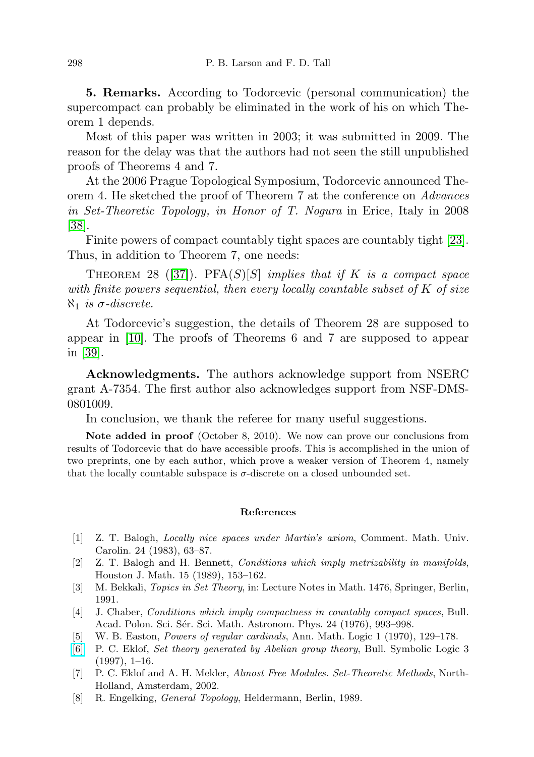5. Remarks. According to Todorcevic (personal communication) the supercompact can probably be eliminated in the work of his on which Theorem 1 depends.

Most of this paper was written in 2003; it was submitted in 2009. The reason for the delay was that the authors had not seen the still unpublished proofs of Theorems 4 and 7.

At the 2006 Prague Topological Symposium, Todorcevic announced Theorem 4. He sketched the proof of Theorem 7 at the conference on Advances in Set-Theoretic Topology, in Honor of T. Nogura in Erice, Italy in 2008 [\[38\]](#page-15-7).

Finite powers of compact countably tight spaces are countably tight [\[23\]](#page-14-18). Thus, in addition to Theorem 7, one needs:

THEOREM 28 ([\[37\]](#page-15-4)). PFA $(S)[S]$  implies that if K is a compact space with finite powers sequential, then every locally countable subset of  $K$  of size  $\aleph_1$  is σ-discrete.

At Todorcevic's suggestion, the details of Theorem 28 are supposed to appear in [\[10\]](#page-14-19). The proofs of Theorems 6 and 7 are supposed to appear in [\[39\]](#page-15-5).

Acknowledgments. The authors acknowledge support from NSERC grant A-7354. The first author also acknowledges support from NSF-DMS-0801009.

In conclusion, we thank the referee for many useful suggestions.

Note added in proof (October 8, 2010). We now can prove our conclusions from results of Todorcevic that do have accessible proofs. This is accomplished in the union of two preprints, one by each author, which prove a weaker version of Theorem 4, namely that the locally countable subspace is  $\sigma$ -discrete on a closed unbounded set.

## References

- <span id="page-13-1"></span>[1] Z. T. Balogh, Locally nice spaces under Martin's axiom, Comment. Math. Univ. Carolin. 24 (1983), 63–87.
- <span id="page-13-3"></span>[2] Z. T. Balogh and H. Bennett, Conditions which imply metrizability in manifolds, Houston J. Math. 15 (1989), 153–162.
- <span id="page-13-2"></span>[3] M. Bekkali, Topics in Set Theory, in: Lecture Notes in Math. 1476, Springer, Berlin, 1991.
- <span id="page-13-4"></span>[4] J. Chaber, Conditions which imply compactness in countably compact spaces, Bull. Acad. Polon. Sci. Sér. Sci. Math. Astronom. Phys. 24 (1976), 993–998.
- [5] W. B. Easton, Powers of regular cardinals, Ann. Math. Logic 1 (1970), 129–178.
- <span id="page-13-5"></span>[\[6\]](http://dx.doi.org/10.2307/421194) P. C. Eklof, Set theory generated by Abelian group theory, Bull. Symbolic Logic 3  $(1997), 1-16.$
- <span id="page-13-6"></span>[7] P. C. Eklof and A. H. Mekler, Almost Free Modules. Set-Theoretic Methods, North-Holland, Amsterdam, 2002.
- <span id="page-13-0"></span>[8] R. Engelking, General Topology, Heldermann, Berlin, 1989.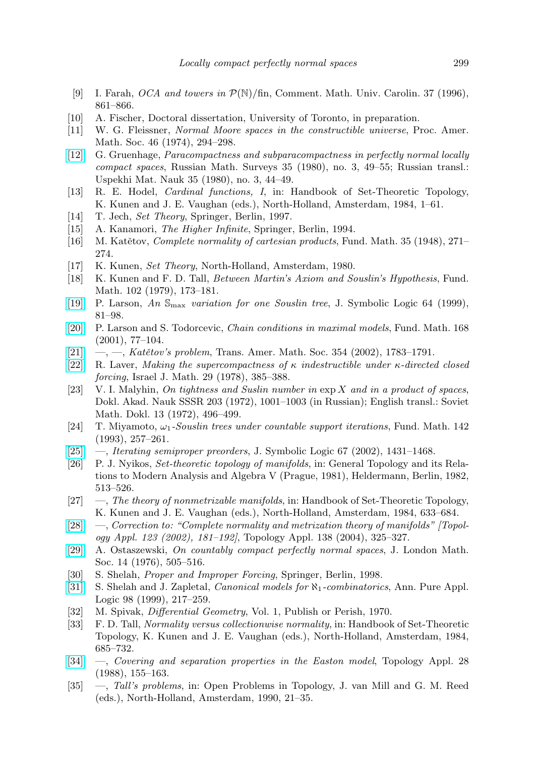- <span id="page-14-8"></span>[9] I. Farah, *OCA and towers in*  $\mathcal{P}(\mathbb{N})$ /fin, Comment. Math. Univ. Carolin. 37 (1996), 861–866.
- <span id="page-14-19"></span>[10] A. Fischer, Doctoral dissertation, University of Toronto, in preparation.
- <span id="page-14-10"></span>[11] W. G. Fleissner, Normal Moore spaces in the constructible universe, Proc. Amer. Math. Soc. 46 (1974), 294–298.
- [\[12\]](http://dx.doi.org/10.1070/RM1980v035n03ABEH001684) G. Gruenhage, Paracompactness and subparacompactness in perfectly normal locally compact spaces, Russian Math. Surveys 35 (1980), no. 3, 49–55; Russian transl.: Uspekhi Mat. Nauk 35 (1980), no. 3, 44–49.
- [13] R. E. Hodel, Cardinal functions, I, in: Handbook of Set-Theoretic Topology, K. Kunen and J. E. Vaughan (eds.), North-Holland, Amsterdam, 1984, 1–61.
- <span id="page-14-1"></span>[14] T. Jech, Set Theory, Springer, Berlin, 1997.
- [15] A. Kanamori, The Higher Infinite, Springer, Berlin, 1994.
- <span id="page-14-13"></span>[16] M. Katětov, *Complete normality of cartesian products*, Fund. Math. 35 (1948),  $271-$ 274.
- <span id="page-14-0"></span>[17] K. Kunen, Set Theory, North-Holland, Amsterdam, 1980.
- <span id="page-14-3"></span>[18] K. Kunen and F. D. Tall, Between Martin's Axiom and Souslin's Hypothesis, Fund. Math. 102 (1979), 173–181.
- <span id="page-14-4"></span>[\[19\]](http://dx.doi.org/10.2307/2586753) P. Larson, An Smax variation for one Souslin tree, J. Symbolic Logic 64 (1999), 81–98.
- [\[20\]](http://dx.doi.org/10.4064/fm168-1-3) P. Larson and S. Todorcevic, Chain conditions in maximal models, Fund. Math. 168 (2001), 77–104.
- <span id="page-14-2"></span>[\[21\]](http://dx.doi.org/10.1090/S0002-9947-01-02936-1) —, —, Katětov's problem, Trans. Amer. Math. Soc. 354 (2002), 1783–1791.
- <span id="page-14-12"></span>[\[22\]](http://dx.doi.org/10.1007/BF02761175) R. Laver, Making the supercompactness of  $\kappa$  indestructible under  $\kappa$ -directed closed forcing, Israel J. Math. 29 (1978), 385–388.
- <span id="page-14-18"></span>[23] V. I. Malyhin, On tightness and Suslin number in  $\exp X$  and in a product of spaces, Dokl. Akad. Nauk SSSR 203 (1972), 1001–1003 (in Russian); English transl.: Soviet Math. Dokl. 13 (1972), 496–499.
- <span id="page-14-6"></span>[24] T. Miyamoto,  $\omega_1$ -Souslin trees under countable support iterations, Fund. Math. 142 (1993), 257–261.
- <span id="page-14-7"></span>[\[25\]](http://dx.doi.org/10.2178/jsl/1190150293) —, Iterating semiproper preorders, J. Symbolic Logic 67 (2002), 1431–1468.
- <span id="page-14-14"></span>[26] P. J. Nyikos, Set-theoretic topology of manifolds, in: General Topology and its Relations to Modern Analysis and Algebra V (Prague, 1981), Heldermann, Berlin, 1982, 513–526.
- <span id="page-14-16"></span>[27]  $\blacksquare$ , The theory of nonmetrizable manifolds, in: Handbook of Set-Theoretic Topology, K. Kunen and J. E. Vaughan (eds.), North-Holland, Amsterdam, 1984, 633–684.
- <span id="page-14-17"></span>[\[28\]](http://dx.doi.org/10.1016/j.topol.2003.11.004) —, Correction to: "Complete normality and metrization theory of manifolds" [Topology Appl. 123 (2002), 181–192], Topology Appl. 138 (2004), 325–327.
- [\[29\]](http://dx.doi.org/10.1112/jlms/s2-14.3.505) A. Ostaszewski, On countably compact perfectly normal spaces, J. London Math. Soc. 14 (1976), 505–516.
- [30] S. Shelah, Proper and Improper Forcing, Springer, Berlin, 1998.
- <span id="page-14-5"></span>[\[31\]](http://dx.doi.org/10.1016/S0168-0072(98)00022-0) S. Shelah and J. Zapletal, *Canonical models for*  $\aleph_1$ -*combinatorics*, Ann. Pure Appl. Logic 98 (1999), 217–259.
- <span id="page-14-15"></span>[32] M. Spivak, Differential Geometry, Vol. 1, Publish or Perish, 1970.
- <span id="page-14-9"></span>[33] F. D. Tall, Normality versus collectionwise normality, in: Handbook of Set-Theoretic Topology, K. Kunen and J. E. Vaughan (eds.), North-Holland, Amsterdam, 1984, 685–732.
- <span id="page-14-11"></span>[\[34\]](http://dx.doi.org/10.1016/0166-8641(88)90007-7) —, Covering and separation properties in the Easton model, Topology Appl. 28 (1988), 155–163.
- [35] —, Tall's problems, in: Open Problems in Topology, J. van Mill and G. M. Reed (eds.), North-Holland, Amsterdam, 1990, 21–35.